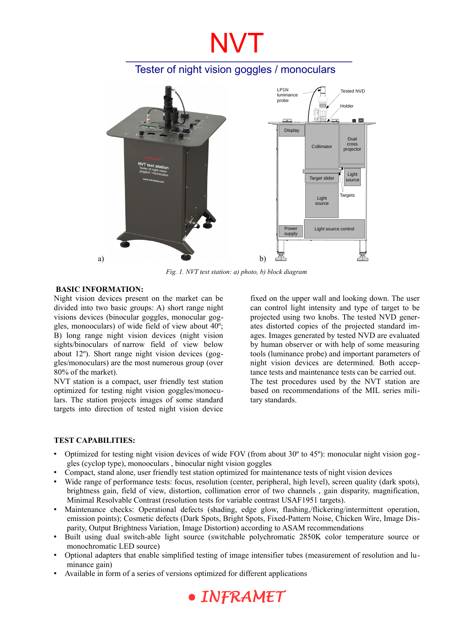# NVT

### Tester of night vision goggles / monoculars



*Fig. 1. NVT test station: a) photo, b) block diagram*

#### **BASIC INFORMATION:**

Night vision devices present on the market can be divided into two basic groups: A) short range night visions devices (binocular goggles, monocular goggles, monooculars) of wide field of view about 40º; B) long range night vision devices (night vision sights/binoculars of narrow field of view below about 12º). Short range night vision devices (goggles/monoculars) are the most numerous group (over 80% of the market).

NVT station is a compact, user friendly test station optimized for testing night vision goggles/monoculars. The station projects images of some standard targets into direction of tested night vision device fixed on the upper wall and looking down. The user can control light intensity and type of target to be projected using two knobs. The tested NVD generates distorted copies of the projected standard images. Images generated by tested NVD are evaluated by human observer or with help of some measuring tools (luminance probe) and important parameters of night vision devices are determined. Both acceptance tests and maintenance tests can be carried out. The test procedures used by the NVT station are based on recommendations of the MIL series military standards.

#### **TEST CAPABILITIES:**

- Optimized for testing night vision devices of wide FOV (from about 30º to 45º): monocular night vision goggles (cyclop type), monooculars , binocular night vision goggles
- Compact, stand alone, user friendly test station optimized for maintenance tests of night vision devices
- Wide range of performance tests: focus, resolution (center, peripheral, high level), screen quality (dark spots), brightness gain, field of view, distortion, collimation error of two channels , gain disparity, magnification, Minimal Resolvable Contrast (resolution tests for variable contrast USAF1951 targets).
- Maintenance checks: Operational defects (shading, edge glow, flashing,/flickering/intermittent operation, emission points); Cosmetic defects (Dark Spots, Bright Spots, Fixed-Pattern Noise, Chicken Wire, Image Disparity, Output Brightness Variation, Image Distortion) according to ASAM recommendations
- Built using dual switch-able light source (switchable polychromatic 2850K color temperature source or monochromatic LED source)
- Optional adapters that enable simplified testing of image intensifier tubes (measurement of resolution and luminance gain)
- Available in form of a series of versions optimized for different applications

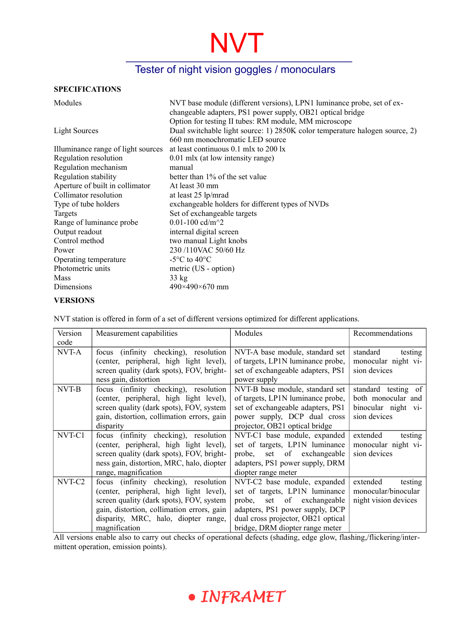# NVT

### Tester of night vision goggles / monoculars

#### **SPECIFICATIONS**

| Modules                            | NVT base module (different versions), LPN1 luminance probe, set of ex-<br>changeable adapters, PS1 power supply, OB21 optical bridge<br>Option for testing II tubes: RM module, MM microscope |  |  |
|------------------------------------|-----------------------------------------------------------------------------------------------------------------------------------------------------------------------------------------------|--|--|
| <b>Light Sources</b>               | Dual switchable light source: 1) 2850K color temperature halogen source, 2)<br>660 nm monochromatic LED source                                                                                |  |  |
| Illuminance range of light sources | at least continuous 0.1 mlx to 200 lx                                                                                                                                                         |  |  |
| Regulation resolution              | 0.01 mlx (at low intensity range)                                                                                                                                                             |  |  |
| Regulation mechanism               | manual                                                                                                                                                                                        |  |  |
| Regulation stability               | better than 1% of the set value                                                                                                                                                               |  |  |
| Aperture of built in collimator    | At least 30 mm                                                                                                                                                                                |  |  |
| Collimator resolution              | at least 25 lp/mrad                                                                                                                                                                           |  |  |
| Type of tube holders               | exchangeable holders for different types of NVDs                                                                                                                                              |  |  |
| Targets                            | Set of exchangeable targets                                                                                                                                                                   |  |  |
| Range of luminance probe           | 0.01-100 cd/m <sup><math>\sim</math>2</sup>                                                                                                                                                   |  |  |
| Output readout                     | internal digital screen                                                                                                                                                                       |  |  |
| Control method                     | two manual Light knobs                                                                                                                                                                        |  |  |
| Power                              | 230/110VAC 50/60 Hz                                                                                                                                                                           |  |  |
| Operating temperature              | $-5^{\circ}$ C to 40 $^{\circ}$ C                                                                                                                                                             |  |  |
| Photometric units                  | metric (US - option)                                                                                                                                                                          |  |  |
| Mass                               | $33 \text{ kg}$                                                                                                                                                                               |  |  |
| Dimensions                         | $490\times490\times670$ mm                                                                                                                                                                    |  |  |

#### **VERSIONS**

NVT station is offered in form of a set of different versions optimized for different applications.

| Version            | Measurement capabilities                   | Modules                            | Recommendations      |
|--------------------|--------------------------------------------|------------------------------------|----------------------|
| code               |                                            |                                    |                      |
| NVT-A              | (infinity checking), resolution<br>focus   | NVT-A base module, standard set    | standard<br>testing  |
|                    | (center, peripheral, high light level),    | of targets, LP1N luminance probe,  | monocular night vi-  |
|                    | screen quality (dark spots), FOV, bright-  | set of exchangeable adapters, PS1  | sion devices         |
|                    | ness gain, distortion                      | power supply                       |                      |
| NVT-B              | focus (infinity checking), resolution      | NVT-B base module, standard set    | standard testing of  |
|                    | (center, peripheral, high light level),    | of targets, LP1N luminance probe,  | both monocular and   |
|                    | screen quality (dark spots), FOV, system   | set of exchangeable adapters, PS1  | binocular night vi-  |
|                    | gain, distortion, collimation errors, gain | power supply, DCP dual cross       | sion devices         |
|                    | disparity                                  | projector, OB21 optical bridge     |                      |
| NVT-C1             | focus (infinity checking), resolution      | NVT-C1 base module, expanded       | extended<br>testing  |
|                    | (center, peripheral, high light level),    | set of targets, LP1N luminance     | monocular night vi-  |
|                    | screen quality (dark spots), FOV, bright-  | set of exchangeable<br>probe,      | sion devices         |
|                    | ness gain, distortion, MRC, halo, diopter  | adapters, PS1 power supply, DRM    |                      |
|                    | range, magnification                       | diopter range meter                |                      |
| NVT-C <sub>2</sub> | focus (infinity checking), resolution      | NVT-C2 base module, expanded       | extended<br>testing  |
|                    | (center, peripheral, high light level),    | set of targets, LP1N luminance     | monocular/binocular  |
|                    | screen quality (dark spots), FOV, system   | of exchangeable<br>probe,<br>set   | night vision devices |
|                    | gain, distortion, collimation errors, gain | adapters, PS1 power supply, DCP    |                      |
|                    | disparity, MRC, halo, diopter range,       | dual cross projector, OB21 optical |                      |
|                    | magnification                              | bridge, DRM diopter range meter    |                      |

All versions enable also to carry out checks of operational defects (shading, edge glow, flashing,/flickering/intermittent operation, emission points).

## · INFRAMET